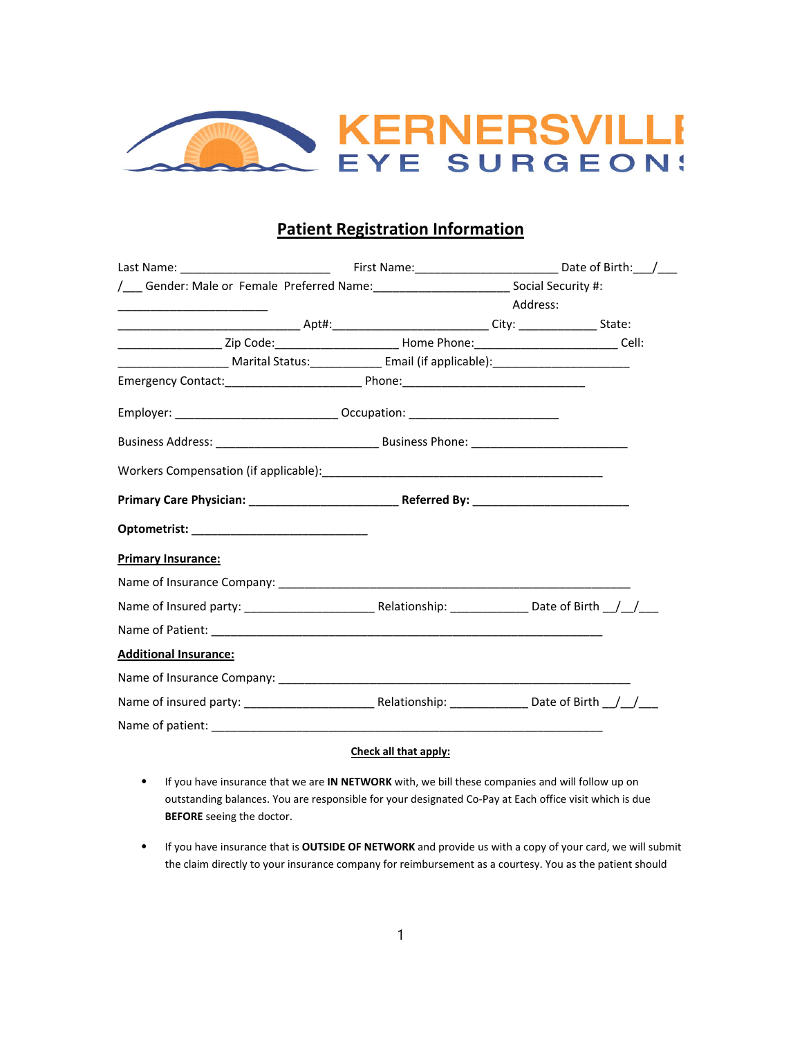

# **Patient Registration Information**

|                                                                                            | Last Name: _______________________________  First Name: ______________________________Date of Birth: ___/____ |          |  |  |
|--------------------------------------------------------------------------------------------|---------------------------------------------------------------------------------------------------------------|----------|--|--|
| /___ Gender: Male or Female Preferred Name: ____________________________Social Security #: |                                                                                                               |          |  |  |
|                                                                                            |                                                                                                               | Address: |  |  |
|                                                                                            |                                                                                                               |          |  |  |
|                                                                                            | _____________________Zip Code:_________________________Home Phone:____________________________Cell:           |          |  |  |
|                                                                                            |                                                                                                               |          |  |  |
|                                                                                            |                                                                                                               |          |  |  |
|                                                                                            |                                                                                                               |          |  |  |
|                                                                                            |                                                                                                               |          |  |  |
|                                                                                            |                                                                                                               |          |  |  |
|                                                                                            |                                                                                                               |          |  |  |
|                                                                                            |                                                                                                               |          |  |  |
| <b>Primary Insurance:</b>                                                                  |                                                                                                               |          |  |  |
|                                                                                            |                                                                                                               |          |  |  |
|                                                                                            |                                                                                                               |          |  |  |
|                                                                                            |                                                                                                               |          |  |  |
| <b>Additional Insurance:</b>                                                               |                                                                                                               |          |  |  |
|                                                                                            |                                                                                                               |          |  |  |
|                                                                                            |                                                                                                               |          |  |  |
|                                                                                            |                                                                                                               |          |  |  |
|                                                                                            |                                                                                                               |          |  |  |

### **Check all that apply:**

- ⦁ If you have insurance that we are **IN NETWORK** with, we bill these companies and will follow up on outstanding balances. You are responsible for your designated Co‐Pay at Each office visit which is due **BEFORE** seeing the doctor.
- ⦁ If you have insurance that is **OUTSIDE OF NETWORK** and provide us with a copy of your card, we will submit the claim directly to your insurance company for reimbursement as a courtesy. You as the patient should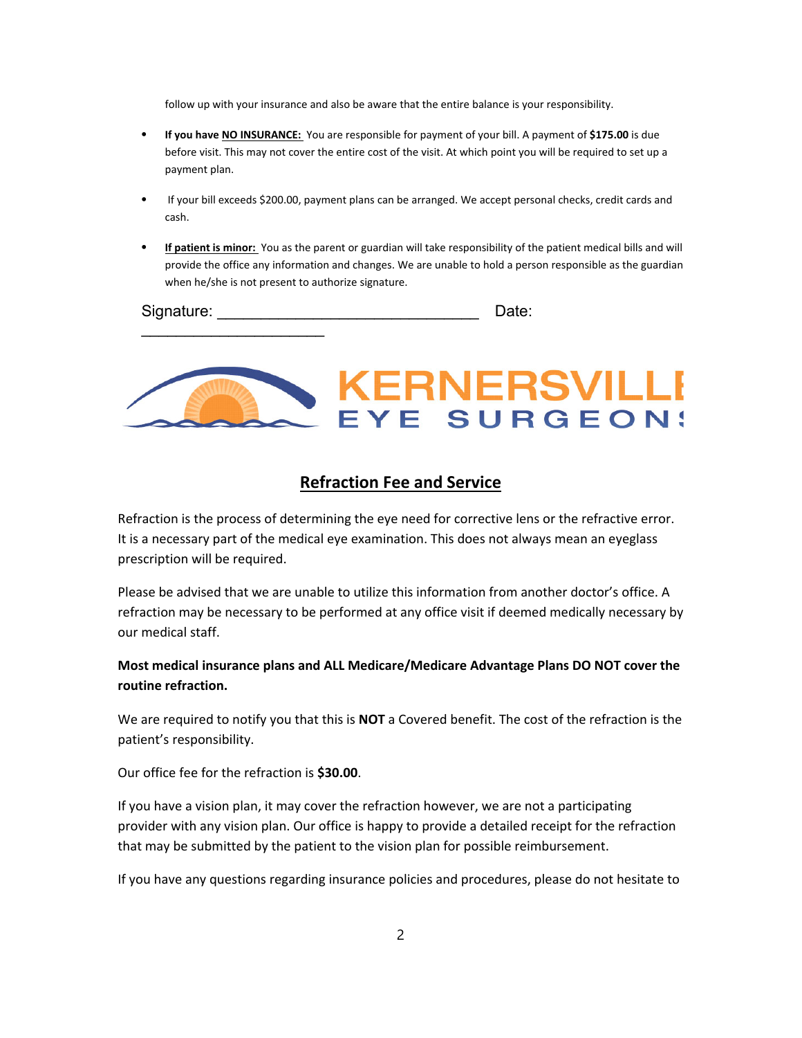follow up with your insurance and also be aware that the entire balance is your responsibility.

- ⦁ **If you have NO INSURANCE:** You are responsible for payment of your bill. A payment of **\$175.00** is due before visit. This may not cover the entire cost of the visit. At which point you will be required to set up a payment plan.
- ⦁ If your bill exceeds \$200.00, payment plans can be arranged. We accept personal checks, credit cards and cash.
- ⦁ **If patient is minor:** You as the parent or guardian will take responsibility of the patient medical bills and will provide the office any information and changes. We are unable to hold a person responsible as the guardian when he/she is not present to authorize signature.

Signature: \_\_\_\_\_\_\_\_\_\_\_\_\_\_\_\_\_\_\_\_\_\_\_\_\_\_\_\_\_\_ Date:

 $\overline{\phantom{a}}$  , which is a set of the set of the set of the set of the set of the set of the set of the set of the set of the set of the set of the set of the set of the set of the set of the set of the set of the set of th



## **Refraction Fee and Service**

Refraction is the process of determining the eye need for corrective lens or the refractive error. It is a necessary part of the medical eye examination. This does not always mean an eyeglass prescription will be required.

Please be advised that we are unable to utilize this information from another doctor's office. A refraction may be necessary to be performed at any office visit if deemed medically necessary by our medical staff.

**Most medical insurance plans and ALL Medicare/Medicare Advantage Plans DO NOT cover the routine refraction.**

We are required to notify you that this is **NOT** a Covered benefit. The cost of the refraction is the patient's responsibility.

Our office fee for the refraction is **\$30.00**.

If you have a vision plan, it may cover the refraction however, we are not a participating provider with any vision plan. Our office is happy to provide a detailed receipt for the refraction that may be submitted by the patient to the vision plan for possible reimbursement.

If you have any questions regarding insurance policies and procedures, please do not hesitate to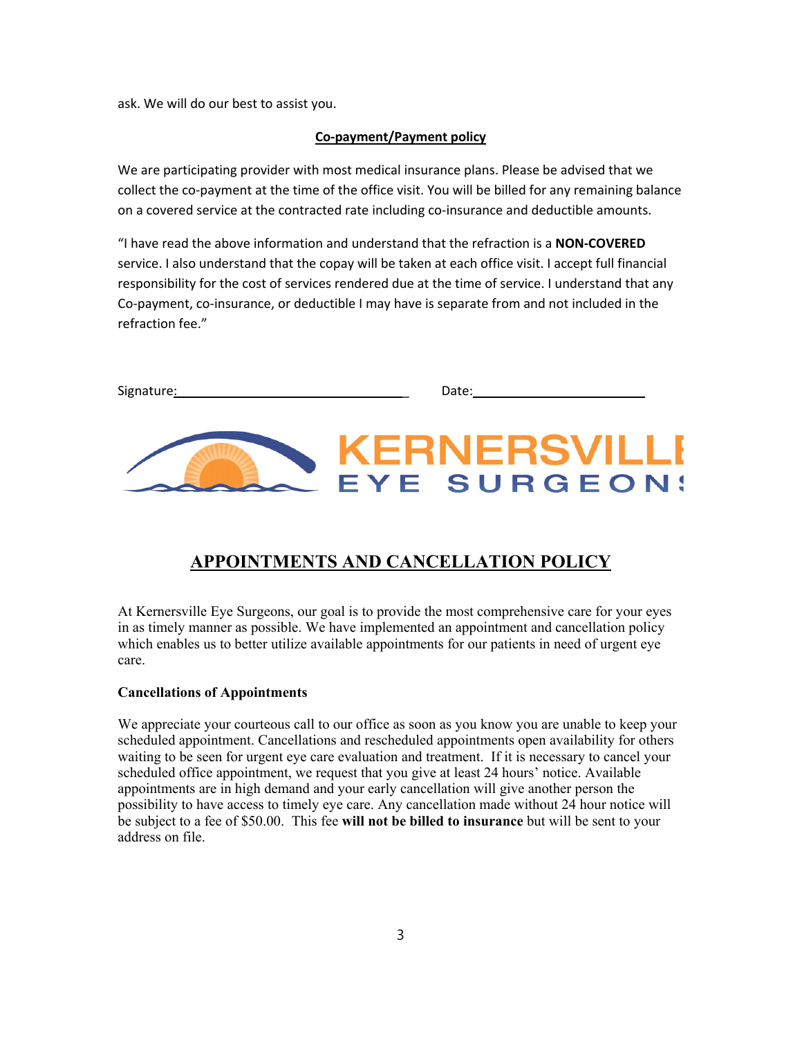ask. We will do our best to assist you.

#### **Co‐payment/Payment policy**

We are participating provider with most medical insurance plans. Please be advised that we collect the co-payment at the time of the office visit. You will be billed for any remaining balance on a covered service at the contracted rate including co-insurance and deductible amounts.

"I have read the above information and understand that the refraction is a **NON‐COVERED** service. I also understand that the copay will be taken at each office visit. I accept full financial responsibility for the cost of services rendered due at the time of service. I understand that any Co‐payment, co‐insurance, or deductible I may have is separate from and not included in the refraction fee."

| Signature: | :שate |
|------------|-------|
|            |       |

# **KERNERSVILLI EYE SURGEON!**

# **APPOINTMENTS AND CANCELLATION POLICY**

At Kernersville Eye Surgeons, our goal is to provide the most comprehensive care for your eyes in as timely manner as possible. We have implemented an appointment and cancellation policy which enables us to better utilize available appointments for our patients in need of urgent eye care.

#### **Cancellations of Appointments**

We appreciate your courteous call to our office as soon as you know you are unable to keep your scheduled appointment. Cancellations and rescheduled appointments open availability for others waiting to be seen for urgent eye care evaluation and treatment. If it is necessary to cancel your scheduled office appointment, we request that you give at least 24 hours' notice. Available appointments are in high demand and your early cancellation will give another person the possibility to have access to timely eye care. Any cancellation made without 24 hour notice will be subject to a fee of \$50.00. This fee **will not be billed to insurance** but will be sent to your address on file.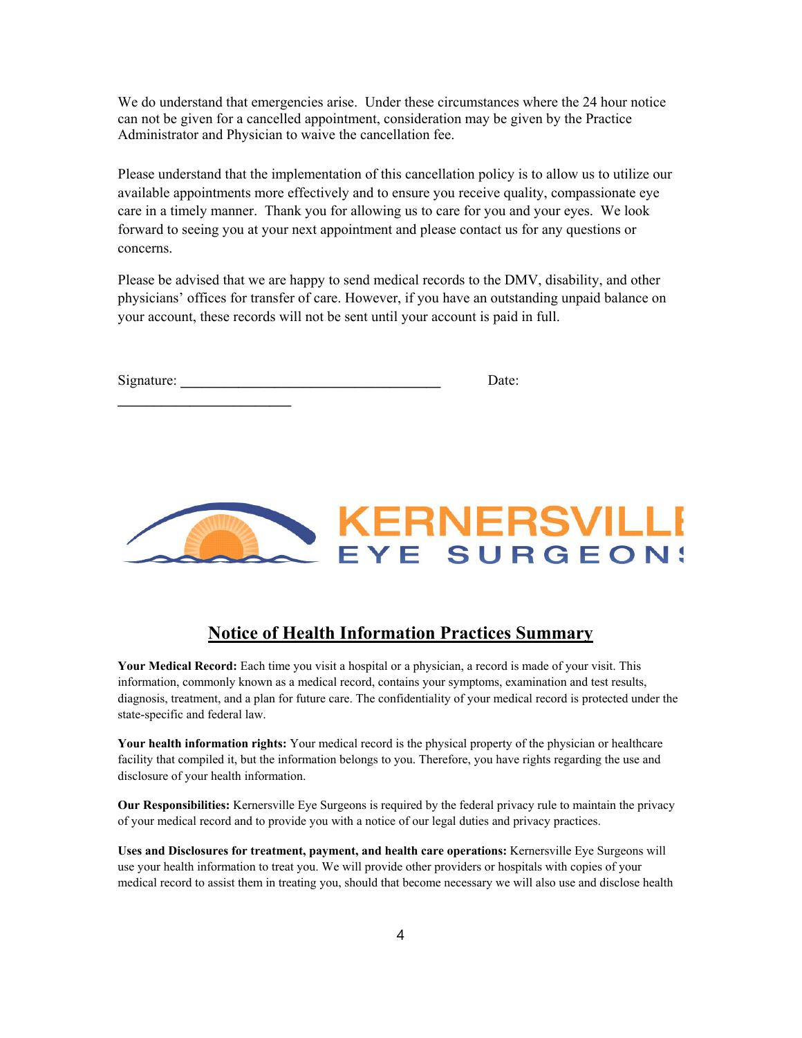We do understand that emergencies arise. Under these circumstances where the 24 hour notice can not be given for a cancelled appointment, consideration may be given by the Practice Administrator and Physician to waive the cancellation fee.

Please understand that the implementation of this cancellation policy is to allow us to utilize our available appointments more effectively and to ensure you receive quality, compassionate eye care in a timely manner. Thank you for allowing us to care for you and your eyes. We look forward to seeing you at your next appointment and please contact us for any questions or concerns.

Please be advised that we are happy to send medical records to the DMV, disability, and other physicians' offices for transfer of care. However, if you have an outstanding unpaid balance on your account, these records will not be sent until your account is paid in full.

**\_\_\_\_\_\_\_\_\_\_\_\_\_\_\_\_\_\_\_\_\_\_\_\_**



# **Notice of Health Information Practices Summary**

**Your Medical Record:** Each time you visit a hospital or a physician, a record is made of your visit. This information, commonly known as a medical record, contains your symptoms, examination and test results, diagnosis, treatment, and a plan for future care. The confidentiality of your medical record is protected under the state-specific and federal law.

**Your health information rights:** Your medical record is the physical property of the physician or healthcare facility that compiled it, but the information belongs to you. Therefore, you have rights regarding the use and disclosure of your health information.

**Our Responsibilities:** Kernersville Eye Surgeons is required by the federal privacy rule to maintain the privacy of your medical record and to provide you with a notice of our legal duties and privacy practices.

**Uses and Disclosures for treatment, payment, and health care operations:** Kernersville Eye Surgeons will use your health information to treat you. We will provide other providers or hospitals with copies of your medical record to assist them in treating you, should that become necessary we will also use and disclose health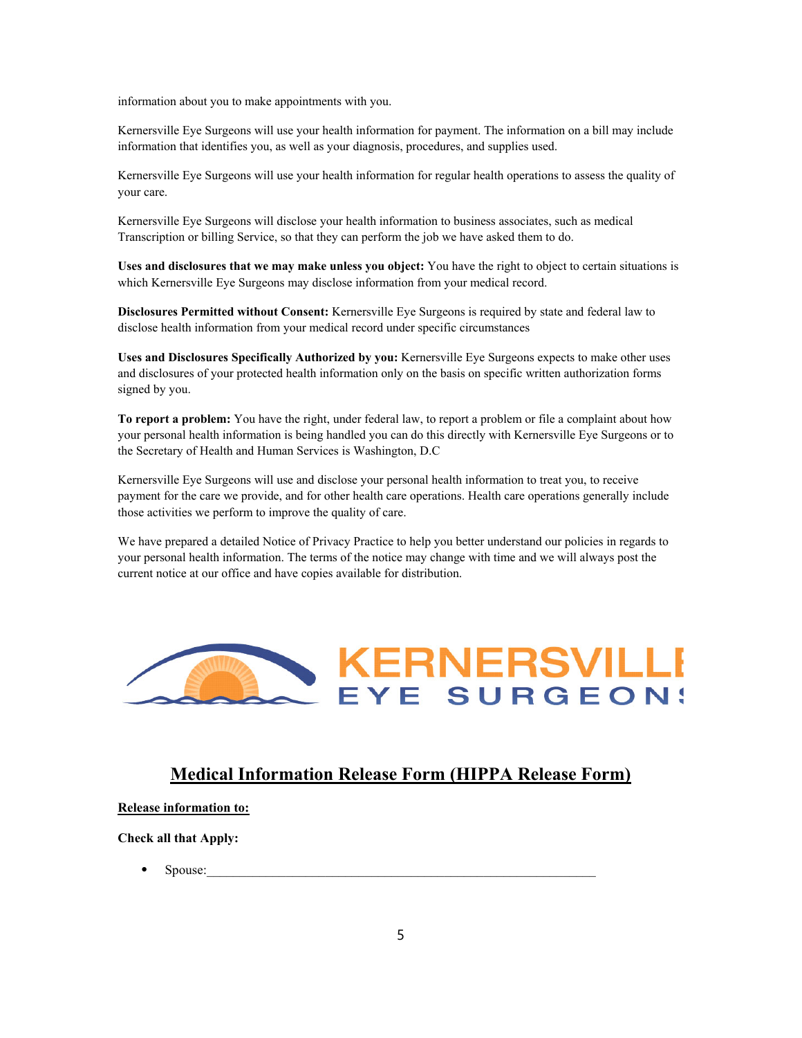information about you to make appointments with you.

Kernersville Eye Surgeons will use your health information for payment. The information on a bill may include information that identifies you, as well as your diagnosis, procedures, and supplies used.

Kernersville Eye Surgeons will use your health information for regular health operations to assess the quality of your care.

Kernersville Eye Surgeons will disclose your health information to business associates, such as medical Transcription or billing Service, so that they can perform the job we have asked them to do.

**Uses and disclosures that we may make unless you object:** You have the right to object to certain situations is which Kernersville Eye Surgeons may disclose information from your medical record.

**Disclosures Permitted without Consent:** Kernersville Eye Surgeons is required by state and federal law to disclose health information from your medical record under specific circumstances

**Uses and Disclosures Specifically Authorized by you:** Kernersville Eye Surgeons expects to make other uses and disclosures of your protected health information only on the basis on specific written authorization forms signed by you.

**To report a problem:** You have the right, under federal law, to report a problem or file a complaint about how your personal health information is being handled you can do this directly with Kernersville Eye Surgeons or to the Secretary of Health and Human Services is Washington, D.C

Kernersville Eye Surgeons will use and disclose your personal health information to treat you, to receive payment for the care we provide, and for other health care operations. Health care operations generally include those activities we perform to improve the quality of care.

We have prepared a detailed Notice of Privacy Practice to help you better understand our policies in regards to your personal health information. The terms of the notice may change with time and we will always post the current notice at our office and have copies available for distribution.



## **Medical Information Release Form (HIPPA Release Form)**

#### **Release information to:**

**Check all that Apply:**

• Spouse: